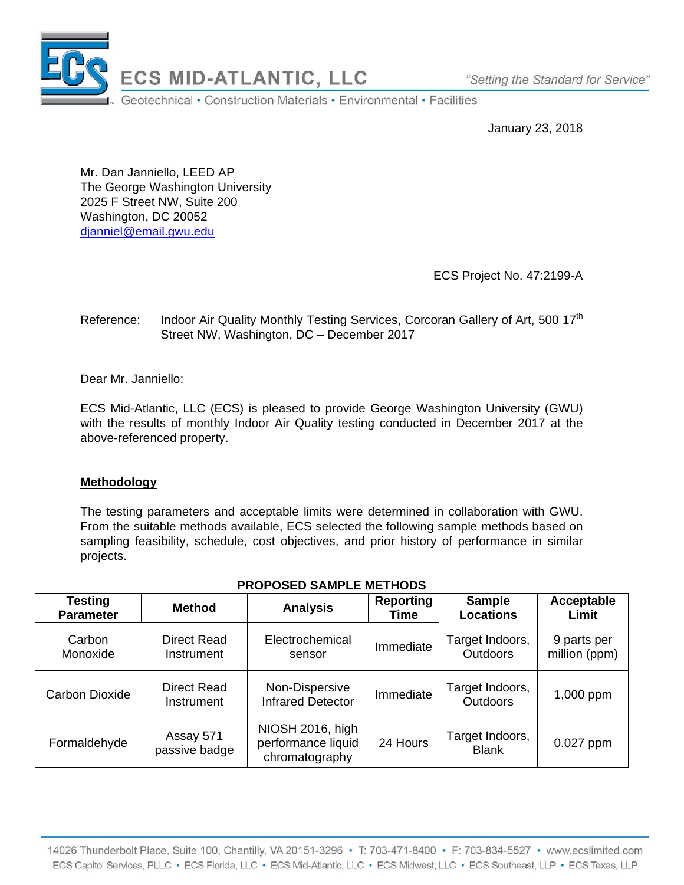

"Setting the Standard for Service"

January 23, 2018

Mr. Dan Janniello, LEED AP The George Washington University 2025 F Street NW, Suite 200 Washington, DC 20052 djanniel@email.gwu.edu

ECS Project No. 47:2199-A

## Reference: Indoor Air Quality Monthly Testing Services, Corcoran Gallery of Art, 500 17<sup>th</sup> Street NW, Washington, DC – December 2017

Dear Mr. Janniello:

ECS Mid-Atlantic, LLC (ECS) is pleased to provide George Washington University (GWU) with the results of monthly Indoor Air Quality testing conducted in December 2017 at the above-referenced property.

## **Methodology**

The testing parameters and acceptable limits were determined in collaboration with GWU. From the suitable methods available, ECS selected the following sample methods based on sampling feasibility, schedule, cost objectives, and prior history of performance in similar projects.

| Testing<br><b>Parameter</b> | <b>Method</b>                    | <b>Analysis</b>                                          | <b>Reporting</b><br>Time | <b>Sample</b><br><b>Locations</b>  | Acceptable<br>Limit          |
|-----------------------------|----------------------------------|----------------------------------------------------------|--------------------------|------------------------------------|------------------------------|
| Carbon<br>Monoxide          | Direct Read<br>Instrument        | Electrochemical<br>sensor                                | Immediate                | Target Indoors,<br><b>Outdoors</b> | 9 parts per<br>million (ppm) |
| Carbon Dioxide              | <b>Direct Read</b><br>Instrument | Non-Dispersive<br><b>Infrared Detector</b>               | Immediate                | Target Indoors,<br><b>Outdoors</b> | 1,000 ppm                    |
| Formaldehyde                | Assay 571<br>passive badge       | NIOSH 2016, high<br>performance liquid<br>chromatography | 24 Hours                 | Target Indoors,<br><b>Blank</b>    | $0.027$ ppm                  |

# **PROPOSED SAMPLE METHODS**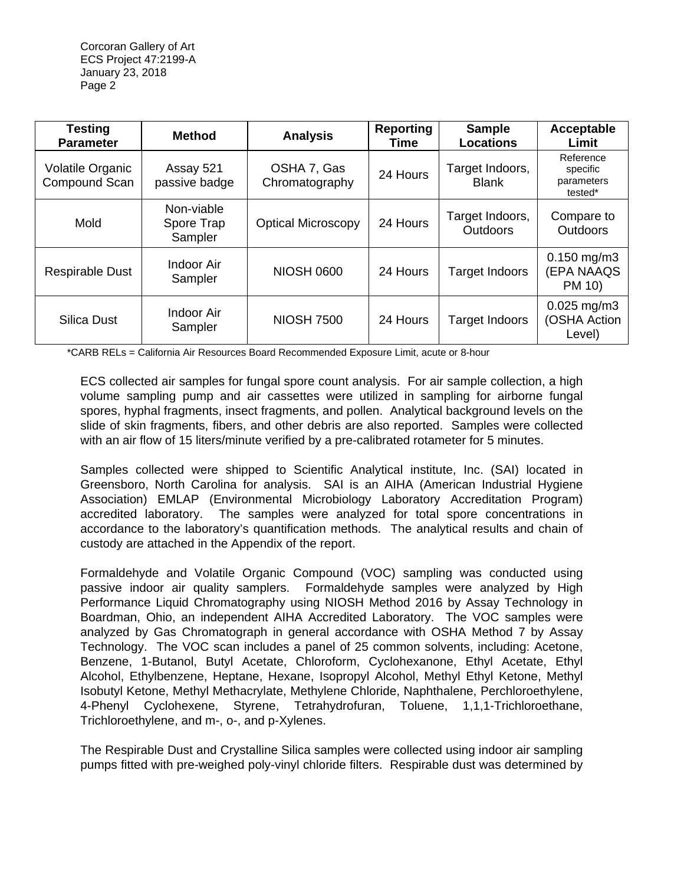| <b>Testing</b><br><b>Parameter</b>       | <b>Method</b>                       | <b>Analysis</b>               | <b>Reporting</b><br>Time | <b>Sample</b><br><b>Locations</b>  | Acceptable<br>Limit                            |
|------------------------------------------|-------------------------------------|-------------------------------|--------------------------|------------------------------------|------------------------------------------------|
| <b>Volatile Organic</b><br>Compound Scan | Assay 521<br>passive badge          | OSHA 7, Gas<br>Chromatography | 24 Hours                 | Target Indoors,<br><b>Blank</b>    | Reference<br>specific<br>parameters<br>tested* |
| Mold                                     | Non-viable<br>Spore Trap<br>Sampler | <b>Optical Microscopy</b>     | 24 Hours                 | Target Indoors,<br><b>Outdoors</b> | Compare to<br><b>Outdoors</b>                  |
| <b>Respirable Dust</b>                   | Indoor Air<br>Sampler               | <b>NIOSH 0600</b>             | 24 Hours                 | Target Indoors                     | $0.150$ mg/m3<br>(EPA NAAQS<br>PM 10)          |
| Silica Dust                              | Indoor Air<br>Sampler               | <b>NIOSH 7500</b>             | 24 Hours                 | Target Indoors                     | $0.025$ mg/m3<br>(OSHA Action<br>Level)        |

\*CARB RELs = California Air Resources Board Recommended Exposure Limit, acute or 8-hour

ECS collected air samples for fungal spore count analysis. For air sample collection, a high volume sampling pump and air cassettes were utilized in sampling for airborne fungal spores, hyphal fragments, insect fragments, and pollen. Analytical background levels on the slide of skin fragments, fibers, and other debris are also reported. Samples were collected with an air flow of 15 liters/minute verified by a pre-calibrated rotameter for 5 minutes.

Samples collected were shipped to Scientific Analytical institute, Inc. (SAI) located in Greensboro, North Carolina for analysis. SAI is an AIHA (American Industrial Hygiene Association) EMLAP (Environmental Microbiology Laboratory Accreditation Program) accredited laboratory. The samples were analyzed for total spore concentrations in accordance to the laboratory's quantification methods. The analytical results and chain of custody are attached in the Appendix of the report.

Formaldehyde and Volatile Organic Compound (VOC) sampling was conducted using passive indoor air quality samplers. Formaldehyde samples were analyzed by High Performance Liquid Chromatography using NIOSH Method 2016 by Assay Technology in Boardman, Ohio, an independent AIHA Accredited Laboratory. The VOC samples were analyzed by Gas Chromatograph in general accordance with OSHA Method 7 by Assay Technology. The VOC scan includes a panel of 25 common solvents, including: Acetone, Benzene, 1-Butanol, Butyl Acetate, Chloroform, Cyclohexanone, Ethyl Acetate, Ethyl Alcohol, Ethylbenzene, Heptane, Hexane, Isopropyl Alcohol, Methyl Ethyl Ketone, Methyl Isobutyl Ketone, Methyl Methacrylate, Methylene Chloride, Naphthalene, Perchloroethylene, 4-Phenyl Cyclohexene, Styrene, Tetrahydrofuran, Toluene, 1,1,1-Trichloroethane, Trichloroethylene, and m-, o-, and p-Xylenes.

The Respirable Dust and Crystalline Silica samples were collected using indoor air sampling pumps fitted with pre-weighed poly-vinyl chloride filters. Respirable dust was determined by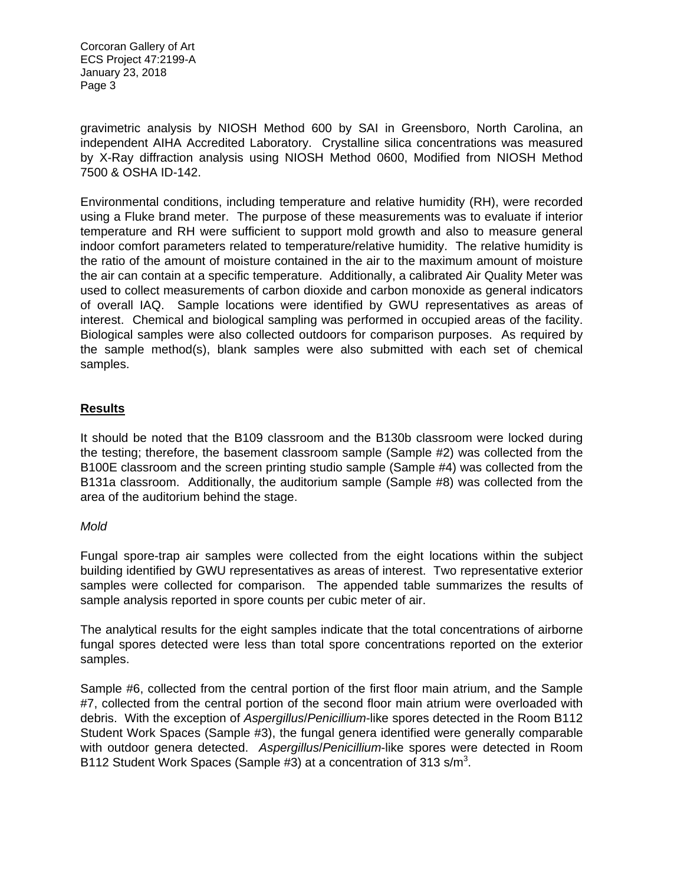gravimetric analysis by NIOSH Method 600 by SAI in Greensboro, North Carolina, an independent AIHA Accredited Laboratory. Crystalline silica concentrations was measured by X-Ray diffraction analysis using NIOSH Method 0600, Modified from NIOSH Method 7500 & OSHA ID-142.

Environmental conditions, including temperature and relative humidity (RH), were recorded using a Fluke brand meter. The purpose of these measurements was to evaluate if interior temperature and RH were sufficient to support mold growth and also to measure general indoor comfort parameters related to temperature/relative humidity. The relative humidity is the ratio of the amount of moisture contained in the air to the maximum amount of moisture the air can contain at a specific temperature. Additionally, a calibrated Air Quality Meter was used to collect measurements of carbon dioxide and carbon monoxide as general indicators of overall IAQ. Sample locations were identified by GWU representatives as areas of interest. Chemical and biological sampling was performed in occupied areas of the facility. Biological samples were also collected outdoors for comparison purposes. As required by the sample method(s), blank samples were also submitted with each set of chemical samples.

### **Results**

It should be noted that the B109 classroom and the B130b classroom were locked during the testing; therefore, the basement classroom sample (Sample #2) was collected from the B100E classroom and the screen printing studio sample (Sample #4) was collected from the B131a classroom. Additionally, the auditorium sample (Sample #8) was collected from the area of the auditorium behind the stage.

#### *Mold*

Fungal spore-trap air samples were collected from the eight locations within the subject building identified by GWU representatives as areas of interest. Two representative exterior samples were collected for comparison. The appended table summarizes the results of sample analysis reported in spore counts per cubic meter of air.

The analytical results for the eight samples indicate that the total concentrations of airborne fungal spores detected were less than total spore concentrations reported on the exterior samples.

Sample #6, collected from the central portion of the first floor main atrium, and the Sample #7, collected from the central portion of the second floor main atrium were overloaded with debris. With the exception of *Aspergillus*/*Penicillium*-like spores detected in the Room B112 Student Work Spaces (Sample #3), the fungal genera identified were generally comparable with outdoor genera detected. *Aspergillus*/*Penicillium*-like spores were detected in Room B112 Student Work Spaces (Sample #3) at a concentration of 313 s/m<sup>3</sup>.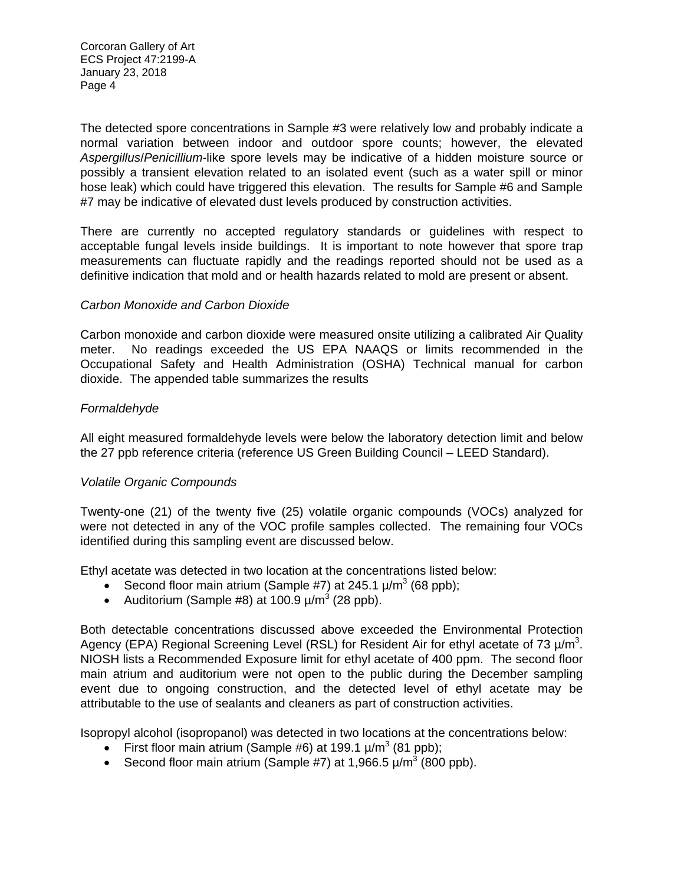The detected spore concentrations in Sample #3 were relatively low and probably indicate a normal variation between indoor and outdoor spore counts; however, the elevated *Aspergillus*/*Penicillium*-like spore levels may be indicative of a hidden moisture source or possibly a transient elevation related to an isolated event (such as a water spill or minor hose leak) which could have triggered this elevation. The results for Sample #6 and Sample #7 may be indicative of elevated dust levels produced by construction activities.

There are currently no accepted regulatory standards or guidelines with respect to acceptable fungal levels inside buildings. It is important to note however that spore trap measurements can fluctuate rapidly and the readings reported should not be used as a definitive indication that mold and or health hazards related to mold are present or absent.

### *Carbon Monoxide and Carbon Dioxide*

Carbon monoxide and carbon dioxide were measured onsite utilizing a calibrated Air Quality meter. No readings exceeded the US EPA NAAQS or limits recommended in the Occupational Safety and Health Administration (OSHA) Technical manual for carbon dioxide. The appended table summarizes the results

### *Formaldehyde*

All eight measured formaldehyde levels were below the laboratory detection limit and below the 27 ppb reference criteria (reference US Green Building Council – LEED Standard).

## *Volatile Organic Compounds*

Twenty-one (21) of the twenty five (25) volatile organic compounds (VOCs) analyzed for were not detected in any of the VOC profile samples collected. The remaining four VOCs identified during this sampling event are discussed below.

Ethyl acetate was detected in two location at the concentrations listed below:

- Second floor main atrium (Sample #7) at 245.1  $\mu/m^3$  (68 ppb);
- Auditorium (Sample #8) at 100.9  $\mu/m^3$  (28 ppb).

Both detectable concentrations discussed above exceeded the Environmental Protection Agency (EPA) Regional Screening Level (RSL) for Resident Air for ethyl acetate of 73  $\mu$ /m<sup>3</sup>. NIOSH lists a Recommended Exposure limit for ethyl acetate of 400 ppm. The second floor main atrium and auditorium were not open to the public during the December sampling event due to ongoing construction, and the detected level of ethyl acetate may be attributable to the use of sealants and cleaners as part of construction activities.

Isopropyl alcohol (isopropanol) was detected in two locations at the concentrations below:

- First floor main atrium (Sample #6) at 199.1  $\mu/m^3$  (81 ppb);
- Second floor main atrium (Sample #7) at 1,966.5  $\mu/m^3$  (800 ppb).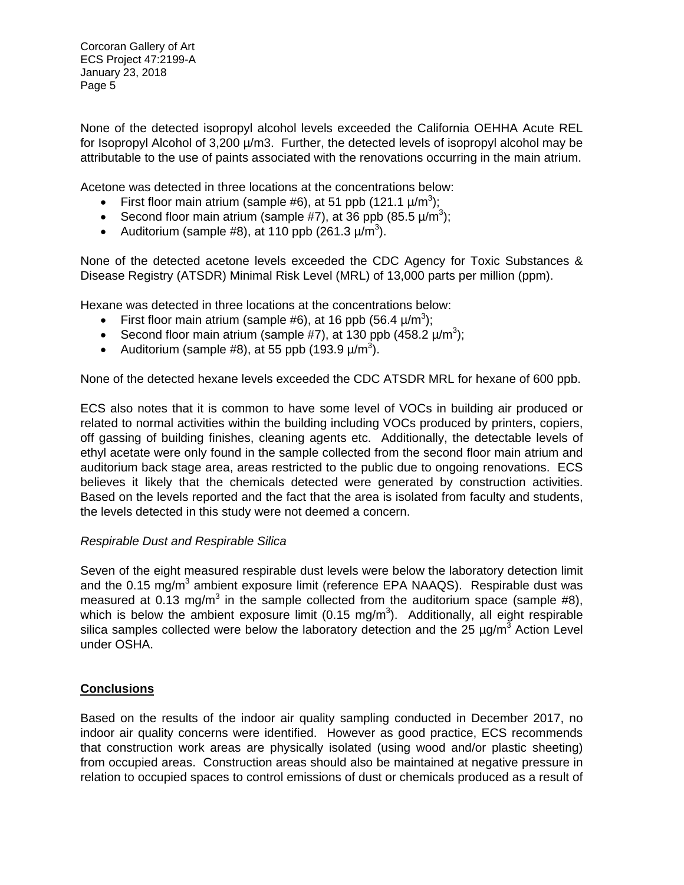None of the detected isopropyl alcohol levels exceeded the California OEHHA Acute REL for Isopropyl Alcohol of  $3,200 \mu/m3$ . Further, the detected levels of isopropyl alcohol may be attributable to the use of paints associated with the renovations occurring in the main atrium.

Acetone was detected in three locations at the concentrations below:

- First floor main atrium (sample #6), at 51 ppb (121.1  $\mu/m^3$ );
- Second floor main atrium (sample #7), at 36 ppb (85.5  $\mu/m^3$ );
- Auditorium (sample #8), at 110 ppb (261.3  $\mu/m^3$ ).

None of the detected acetone levels exceeded the CDC Agency for Toxic Substances & Disease Registry (ATSDR) Minimal Risk Level (MRL) of 13,000 parts per million (ppm).

Hexane was detected in three locations at the concentrations below:

- First floor main atrium (sample #6), at 16 ppb (56.4  $\mu$ /m<sup>3</sup>);
- Second floor main atrium (sample #7), at 130 ppb  $(458.2 \text{ }\mu/\text{m}^3)$ ;
- Auditorium (sample #8), at 55 ppb (193.9  $\mu/m^3$ ).

None of the detected hexane levels exceeded the CDC ATSDR MRL for hexane of 600 ppb.

ECS also notes that it is common to have some level of VOCs in building air produced or related to normal activities within the building including VOCs produced by printers, copiers, off gassing of building finishes, cleaning agents etc. Additionally, the detectable levels of ethyl acetate were only found in the sample collected from the second floor main atrium and auditorium back stage area, areas restricted to the public due to ongoing renovations. ECS believes it likely that the chemicals detected were generated by construction activities. Based on the levels reported and the fact that the area is isolated from faculty and students, the levels detected in this study were not deemed a concern.

## *Respirable Dust and Respirable Silica*

Seven of the eight measured respirable dust levels were below the laboratory detection limit and the 0.15 mg/m<sup>3</sup> ambient exposure limit (reference EPA NAAQS). Respirable dust was measured at 0.13 mg/m<sup>3</sup> in the sample collected from the auditorium space (sample #8), which is below the ambient exposure limit (0.15 mg/m<sup>3</sup>). Additionally, all eight respirable silica samples collected were below the laboratory detection and the 25  $\mu$ g/m<sup>3</sup> Action Level under OSHA.

## **Conclusions**

Based on the results of the indoor air quality sampling conducted in December 2017, no indoor air quality concerns were identified. However as good practice, ECS recommends that construction work areas are physically isolated (using wood and/or plastic sheeting) from occupied areas. Construction areas should also be maintained at negative pressure in relation to occupied spaces to control emissions of dust or chemicals produced as a result of